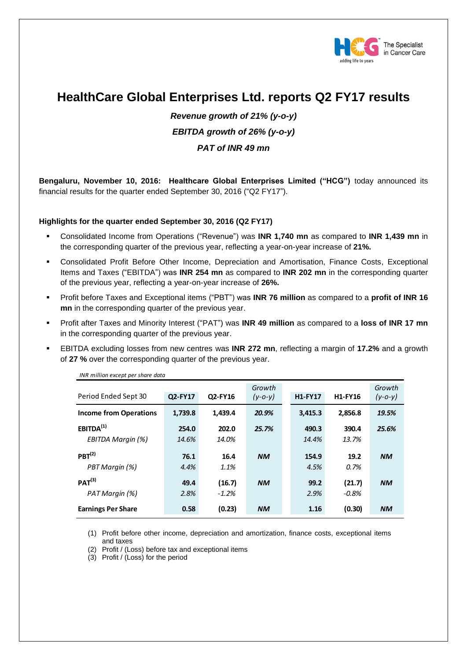

# **HealthCare Global Enterprises Ltd. reports Q2 FY17 results**

*Revenue growth of 21% (y-o-y) EBITDA growth of 26% (y-o-y) PAT of INR 49 mn*

**Bengaluru, November 10, 2016: Healthcare Global Enterprises Limited ("HCG")** today announced its financial results for the quarter ended September 30, 2016 ("Q2 FY17").

### **Highlights for the quarter ended September 30, 2016 (Q2 FY17)**

- Consolidated Income from Operations ("Revenue") was **INR 1,740 mn** as compared to **INR 1,439 mn** in the corresponding quarter of the previous year, reflecting a year-on-year increase of **21%.**
- Consolidated Profit Before Other Income, Depreciation and Amortisation, Finance Costs, Exceptional Items and Taxes ("EBITDA") was **INR 254 mn** as compared to **INR 202 mn** in the corresponding quarter of the previous year, reflecting a year-on-year increase of **26%.**
- Profit before Taxes and Exceptional items ("PBT") was **INR 76 million** as compared to a **profit of INR 16 mn** in the corresponding quarter of the previous year.
- Profit after Taxes and Minority Interest ("PAT") was **INR 49 million** as compared to a **loss of INR 17 mn** in the corresponding quarter of the previous year.
- EBITDA excluding losses from new centres was **INR 272 mn**, reflecting a margin of **17.2%** and a growth of **27 %** over the corresponding quarter of the previous year.

| liva millium except per shure uutu         |                |                   |                         |  |                |                    |                         |
|--------------------------------------------|----------------|-------------------|-------------------------|--|----------------|--------------------|-------------------------|
| Period Ended Sept 30                       | Q2-FY17        | Q2-FY16           | Growth<br>$(y - 0 - y)$ |  | <b>H1-FY17</b> | <b>H1-FY16</b>     | Growth<br>$(y - 0 - y)$ |
| <b>Income from Operations</b>              | 1,739.8        | 1,439.4           | 20.9%                   |  | 3,415.3        | 2,856.8            | 19.5%                   |
| EBITDA <sup>(1)</sup><br>EBITDA Margin (%) | 254.0<br>14.6% | 202.0<br>14.0%    | 25.7%                   |  | 490.3<br>14.4% | 390.4<br>13.7%     | 25.6%                   |
| PBT <sup>(2)</sup><br>PBT Margin (%)       | 76.1<br>4.4%   | 16.4<br>1.1%      | <b>NM</b>               |  | 154.9<br>4.5%  | 19.2<br>0.7%       | <b>NM</b>               |
| PAT <sup>(3)</sup><br>PAT Margin (%)       | 49.4<br>2.8%   | (16.7)<br>$-1.2%$ | <b>NM</b>               |  | 99.2<br>2.9%   | (21.7)<br>$-0.8\%$ | <b>NM</b>               |
| <b>Earnings Per Share</b>                  | 0.58           | (0.23)            | <b>NM</b>               |  | 1.16           | (0.30)             | <b>NM</b>               |

*INR million except per share data*

(1) Profit before other income, depreciation and amortization, finance costs, exceptional items and taxes

(2) Profit / (Loss) before tax and exceptional items

(3) Profit / (Loss) for the period